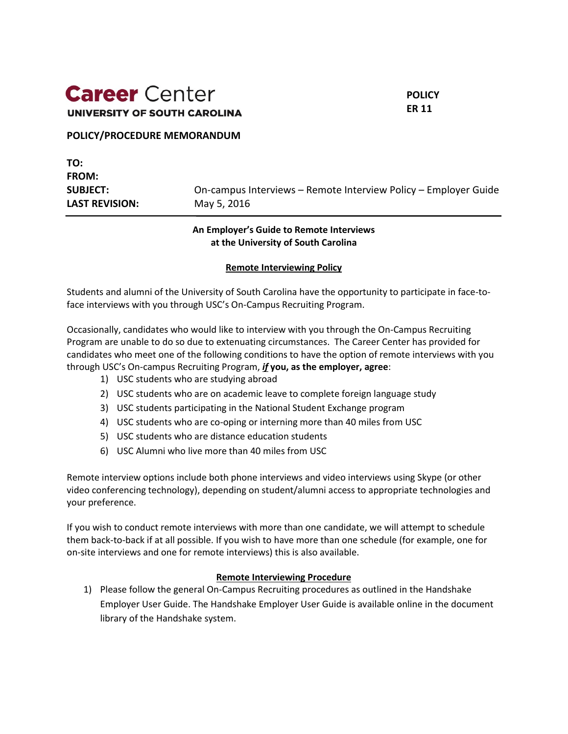# **Career** Center **UNIVERSITY OF SOUTH CAROLINA**

**POLICY ER 11**

#### **POLICY/PROCEDURE MEMORANDUM**

# **TO: FROM: SUBJECT:** On-campus Interviews – Remote Interview Policy – Employer Guide **LAST REVISION:** May 5, 2016

## **An Employer's Guide to Remote Interviews at the University of South Carolina**

### **Remote Interviewing Policy**

Students and alumni of the University of South Carolina have the opportunity to participate in face-toface interviews with you through USC's On-Campus Recruiting Program.

Occasionally, candidates who would like to interview with you through the On-Campus Recruiting Program are unable to do so due to extenuating circumstances. The Career Center has provided for candidates who meet one of the following conditions to have the option of remote interviews with you through USC's On-campus Recruiting Program, *if* **you, as the employer, agree**:

- 1) USC students who are studying abroad
- 2) USC students who are on academic leave to complete foreign language study
- 3) USC students participating in the National Student Exchange program
- 4) USC students who are co-oping or interning more than 40 miles from USC
- 5) USC students who are distance education students
- 6) USC Alumni who live more than 40 miles from USC

Remote interview options include both phone interviews and video interviews using Skype (or other video conferencing technology), depending on student/alumni access to appropriate technologies and your preference.

If you wish to conduct remote interviews with more than one candidate, we will attempt to schedule them back-to-back if at all possible. If you wish to have more than one schedule (for example, one for on-site interviews and one for remote interviews) this is also available.

#### **Remote Interviewing Procedure**

1) Please follow the general On-Campus Recruiting procedures as outlined in the Handshake Employer User Guide. The Handshake Employer User Guide is available online in the document library of the Handshake system.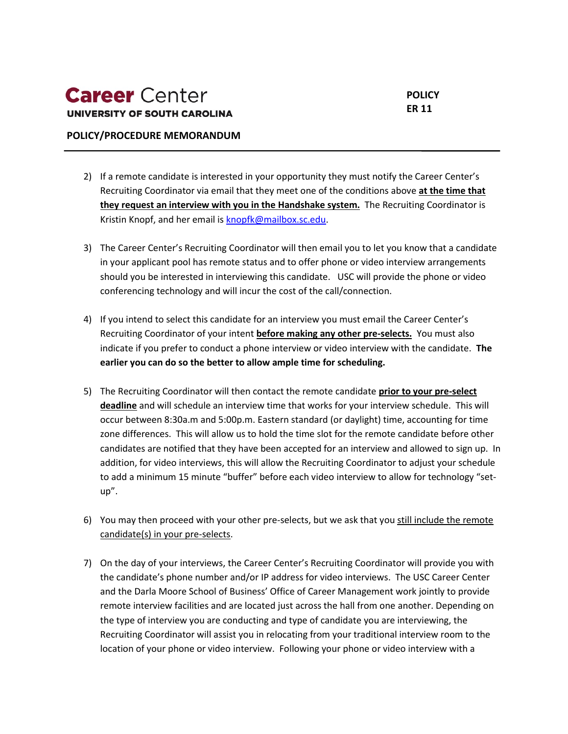#### **POLICY/PROCEDURE MEMORANDUM**

- 2) If a remote candidate is interested in your opportunity they must notify the Career Center's Recruiting Coordinator via email that they meet one of the conditions above **at the time that they request an interview with you in the Handshake system.** The Recruiting Coordinator is Kristin Knopf, and her email is [knopfk@mailbox.sc.edu.](mailto:knopfk@mailbox.sc.edu)
- 3) The Career Center's Recruiting Coordinator will then email you to let you know that a candidate in your applicant pool has remote status and to offer phone or video interview arrangements should you be interested in interviewing this candidate. USC will provide the phone or video conferencing technology and will incur the cost of the call/connection.
- 4) If you intend to select this candidate for an interview you must email the Career Center's Recruiting Coordinator of your intent **before making any other pre-selects.** You must also indicate if you prefer to conduct a phone interview or video interview with the candidate. **The earlier you can do so the better to allow ample time for scheduling.**
- 5) The Recruiting Coordinator will then contact the remote candidate **prior to your pre-select deadline** and will schedule an interview time that works for your interview schedule. This will occur between 8:30a.m and 5:00p.m. Eastern standard (or daylight) time, accounting for time zone differences. This will allow us to hold the time slot for the remote candidate before other candidates are notified that they have been accepted for an interview and allowed to sign up. In addition, for video interviews, this will allow the Recruiting Coordinator to adjust your schedule to add a minimum 15 minute "buffer" before each video interview to allow for technology "setup".
- 6) You may then proceed with your other pre-selects, but we ask that you still include the remote candidate(s) in your pre-selects.
- 7) On the day of your interviews, the Career Center's Recruiting Coordinator will provide you with the candidate's phone number and/or IP address for video interviews. The USC Career Center and the Darla Moore School of Business' Office of Career Management work jointly to provide remote interview facilities and are located just across the hall from one another. Depending on the type of interview you are conducting and type of candidate you are interviewing, the Recruiting Coordinator will assist you in relocating from your traditional interview room to the location of your phone or video interview. Following your phone or video interview with a